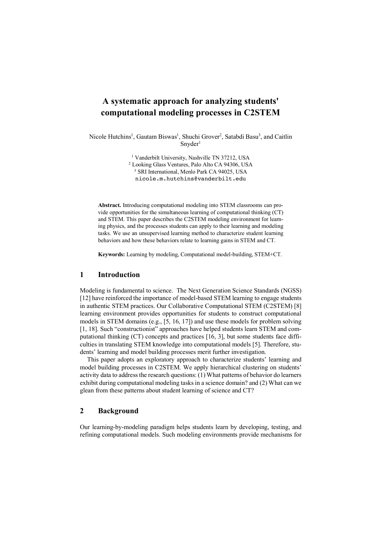# **A systematic approach for analyzing students' computational modeling processes in C2STEM**

Nicole Hutchins<sup>1</sup>, Gautam Biswas<sup>1</sup>, Shuchi Grover<sup>2</sup>, Satabdi Basu<sup>3</sup>, and Caitlin  $Sn \cdot \text{vder}^1$ 

<sup>1</sup> Vanderbilt University, Nashville TN 37212, USA

<sup>2</sup> Looking Glass Ventures, Palo Alto CA 94306, USA

<sup>3</sup> SRI International, Menlo Park CA 94025, USA

nicole.m.hutchins@vanderbilt.edu

**Abstract.** Introducing computational modeling into STEM classrooms can provide opportunities for the simultaneous learning of computational thinking (CT) and STEM. This paper describes the C2STEM modeling environment for learning physics, and the processes students can apply to their learning and modeling tasks. We use an unsupervised learning method to characterize student learning behaviors and how these behaviors relate to learning gains in STEM and CT.

**Keywords:** Learning by modeling, Computational model-building, STEM+CT.

### **1 Introduction**

Modeling is fundamental to science. The Next Generation Science Standards (NGSS) [12] have reinforced the importance of model-based STEM learning to engage students in authentic STEM practices. Our Collaborative Computational STEM (C2STEM) [8] learning environment provides opportunities for students to construct computational models in STEM domains (e.g., [5, 16, 17]) and use these models for problem solving [1, 18]. Such "constructionist" approaches have helped students learn STEM and computational thinking (CT) concepts and practices [16, 3], but some students face difficulties in translating STEM knowledge into computational models [5]. Therefore, students' learning and model building processes merit further investigation.

This paper adopts an exploratory approach to characterize students' learning and model building processes in C2STEM. We apply hierarchical clustering on students' activity data to address the research questions: (1) What patterns of behavior do learners exhibit during computational modeling tasks in a science domain? and (2) What can we glean from these patterns about student learning of science and CT?

## **2 Background**

Our learning-by-modeling paradigm helps students learn by developing, testing, and refining computational models. Such modeling environments provide mechanisms for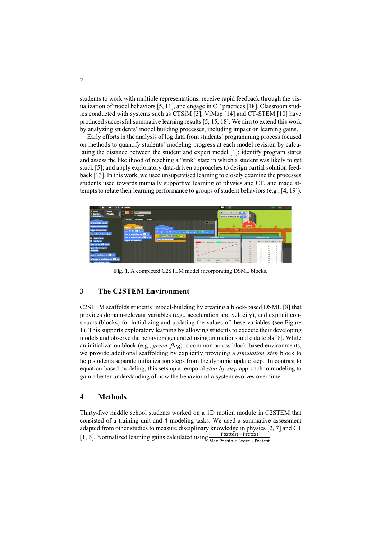students to work with multiple representations, receive rapid feedback through the visualization of model behaviors [5, 11], and engage in CT practices [18]. Classroom studies conducted with systems such as CTSiM [3], ViMap [14] and CT-STEM [10] have produced successful summative learning results [5, 15, 18]. We aim to extend this work by analyzing students' model building processes, including impact on learning gains.

Early efforts in the analysis of log data from students' programming process focused on methods to quantify students' modeling progress at each model revision by calculating the distance between the student and expert model [1]; identify program states and assess the likelihood of reaching a "sink" state in which a student was likely to get stuck [5]; and apply exploratory data-driven approaches to design partial solution feedback [13]. In this work, we used unsupervised learning to closely examine the processes students used towards mutually supportive learning of physics and CT, and made attempts to relate their learning performance to groups of student behaviors (e.g., [4, 19]).



**Fig. 1.** A completed C2STEM model incorporating DSML blocks.

## **3 The C2STEM Environment**

C2STEM scaffolds students' model-building by creating a block-based DSML [8] that provides domain-relevant variables (e.g., acceleration and velocity), and explicit constructs (blocks) for initializing and updating the values of these variables (see Figure 1). This supports exploratory learning by allowing students to execute their developing models and observe the behaviors generated using animations and data tools [8]. While an initialization block (e.g., *green\_flag*) is common across block-based environments, we provide additional scaffolding by explicitly providing a *simulation\_step* block to help students separate initialization steps from the dynamic update step. In contrast to equation-based modeling, this sets up a temporal *step-by-step* approach to modeling to gain a better understanding of how the behavior of a system evolves over time.

#### **4 Methods**

Thirty-five middle school students worked on a 1D motion module in C2STEM that consisted of a training unit and 4 modeling tasks. We used a summative assessment adapted from other studies to measure disciplinary knowledge in physics [2, 7] and CT [1, 6]. Normalized learning gains calculated using  $\frac{\text{Posttest - Pretest}}{\text{Max Possible Score - Pretest}}$ .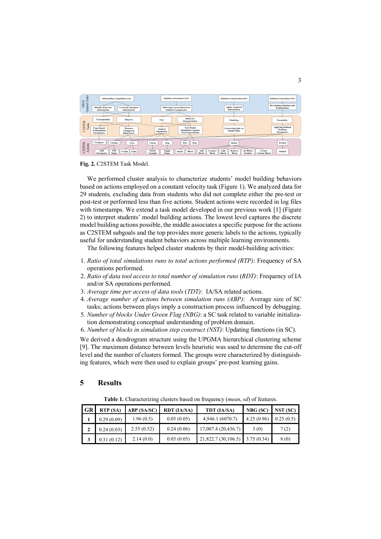| asks<br>OELE<br>$\vdash$<br>General | <b>Information Acquisition (IA)</b><br><b>Identify Relevant</b><br><b>Correctly Interpret</b><br><b>Information</b><br><b>Information</b> | <b>Solution Assessment (SA)</b><br><b>Inferring Correct/Incorrect</b><br><b>Solution Components</b>                                                           | <b>Solution Construction (SC)</b><br><b>Apply Acquired</b><br>Information                                         | <b>Solution Generation (SG)</b><br><b>Developing Solutions and</b><br><b>Explanations</b> |
|-------------------------------------|-------------------------------------------------------------------------------------------------------------------------------------------|---------------------------------------------------------------------------------------------------------------------------------------------------------------|-------------------------------------------------------------------------------------------------------------------|-------------------------------------------------------------------------------------------|
| <b>C2STEM</b><br>Tasks              | Conceptualize<br>Observe<br><b>Experiment</b><br>Measure<br>w/Simulation<br><b>Changes</b> in<br><b>Parameters</b><br>Behavior(s)         | <b>Behavior</b><br><b>Test</b><br>Interpretation<br><b>Test Model</b><br>Analyze<br><b>Simulation Against</b><br><b>Simulation</b><br><b>Own Expectations</b> | Modeling<br><b>Converting Info. to</b><br><b>Model Edits</b>                                                      | Formulate<br><b>Applying Defined</b><br><b>Problem</b><br><b>Parameters</b>               |
| <b>C2STEM</b><br>Actions            | Compare<br>Change<br><b>View</b><br>Edit<br>Edit<br>Table<br>Graph<br><b>Stage</b><br>Parameter                                           | Play<br>Check<br>Stop<br><b>Step</b><br>Toggle<br>Check<br>Add<br>Connect<br>Block<br>Model<br><b>Variable</b><br>Pause<br><b>Block</b><br><b>Block</b>       | Model<br><b>Set Block</b><br>Edit<br>Remove<br>Create<br><b>Position</b><br>Block<br><b>Custom Block</b><br>Block | Predict<br>Submit                                                                         |

**Fig. 2.** C2STEM Task Model.

We performed cluster analysis to characterize students' model building behaviors based on actions employed on a constant velocity task (Figure 1). We analyzed data for 29 students, excluding data from students who did not complete either the pre-test or post-test or performed less than five actions. Student actions were recorded in log files with timestamps. We extend a task model developed in our previous work [1] (Figure 2) to interpret students' model building actions. The lowest level captures the discrete model building actions possible, the middle associates a specific purpose for the actions as C2STEM subgoals and the top provides more generic labels to the actions, typically useful for understanding student behaviors across multiple learning environments.

The following features helped cluster students by their model-building activities:

- 1. *Ratio of total simulations runs to total actions performed (RTP)*: Frequency of SA operations performed.
- 2. *Ratio of data tool access to total number of simulation runs* (*RDT)*: Frequency of IA and/or SA operations performed.
- 3. *Average time per access of data tools* (*TDT)*: IA/SA related actions.
- 4. *Average number of actions between simulation runs (ABP)*:Average size of SC tasks; actions between plays imply a construction process influenced by debugging.
- 5. *Number of blocks Under Green Flag (NBG)*: a SC task related to variable initialization demonstrating conceptual understanding of problem domain.
- 6. *Number of blocks in simulation step construct (NST)*: Updating functions (in SC).

We derived a dendrogram structure using the UPGMA hierarchical clustering scheme [9]. The maximum distance between levels heuristic was used to determine the cut-off level and the number of clusters formed. The groups were characterized by distinguishing features, which were then used to explain groups' pre-post learning gains.

#### **5 Results**

**Table 1.** Characterizing clusters based on frequency (*mean*, *sd*) of features.

| GR | <b>RTP</b> (SA) | ABP (SA/SC) | RDT (IA/SA) | TDT (IA/SA)                      | NBG(SC)    | NST (SC)  |
|----|-----------------|-------------|-------------|----------------------------------|------------|-----------|
|    | 0.29(0.09)      | 1.96(0.5)   | 0.05(0.05)  | 4,946.1 (6070.7)                 | 4.25(0.96) | 0.25(0.5) |
|    | 0.24(0.03)      | 2.55(0.52)  | 0.24(0.06)  | 17,007.4(20,436.7)               | 3(0)       | 7(2)      |
|    | 0.31(0.12)      | 2.14(0.0)   | 0.05(0.05)  | $21,822.7(30,106.5)$ 3.75 (0.34) |            | 8 (0)     |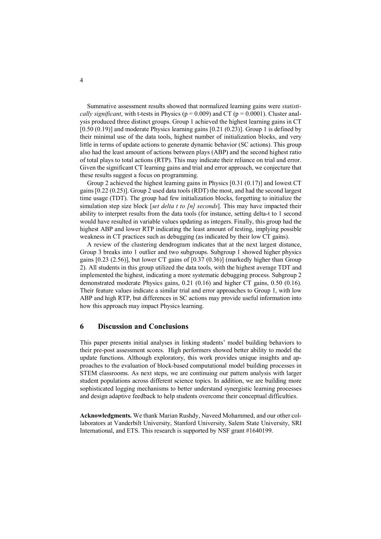Summative assessment results showed that normalized learning gains were *statistically significant*, with t-tests in Physics ( $p = 0.009$ ) and CT ( $p = 0.0001$ ). Cluster analysis produced three distinct groups. Group 1 achieved the highest learning gains in CT  $[0.50 (0.19)]$  and moderate Physics learning gains  $[0.21 (0.23)]$ . Group 1 is defined by their minimal use of the data tools, highest number of initialization blocks, and very little in terms of update actions to generate dynamic behavior (SC actions). This group also had the least amount of actions between plays (ABP) and the second highest ratio of total plays to total actions (RTP). This may indicate their reliance on trial and error. Given the significant CT learning gains and trial and error approach, we conjecture that these results suggest a focus on programming.

Group 2 achieved the highest learning gains in Physics [0.31 (0.17)] and lowest CT gains [0.22 (0.25)]. Group 2 used data tools (RDT) the most, and had the second largest time usage (TDT). The group had few initialization blocks, forgetting to initialize the simulation step size block [*set delta t to [n] seconds*]. This may have impacted their ability to interpret results from the data tools (for instance, setting delta-t to 1 second would have resulted in variable values updating as integers. Finally, this group had the highest ABP and lower RTP indicating the least amount of testing, implying possible weakness in CT practices such as debugging (as indicated by their low CT gains).

A review of the clustering dendrogram indicates that at the next largest distance, Group 3 breaks into 1 outlier and two subgroups. Subgroup 1 showed higher physics gains [0.23 (2.56)], but lower CT gains of [0.37 (0.36)] (markedly higher than Group 2). All students in this group utilized the data tools, with the highest average TDT and implemented the highest, indicating a more systematic debugging process. Subgroup 2 demonstrated moderate Physics gains, 0.21 (0.16) and higher CT gains, 0.50 (0.16). Their feature values indicate a similar trial and error approaches to Group 1, with low ABP and high RTP, but differences in SC actions may provide useful information into how this approach may impact Physics learning.

### **6 Discussion and Conclusions**

This paper presents initial analyses in linking students' model building behaviors to their pre-post assessment scores. High performers showed better ability to model the update functions. Although exploratory, this work provides unique insights and approaches to the evaluation of block-based computational model building processes in STEM classrooms. As next steps, we are continuing our pattern analysis with larger student populations across different science topics. In addition, we are building more sophisticated logging mechanisms to better understand synergistic learning processes and design adaptive feedback to help students overcome their conceptual difficulties.

**Acknowledgments.** We thank Marian Rushdy, Naveed Mohammed, and our other collaborators at Vanderbilt University, Stanford University, Salem State University, SRI International, and ETS. This research is supported by NSF grant #1640199.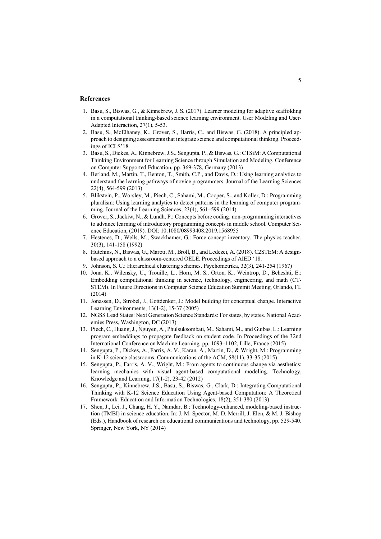#### **References**

- 1. Basu, S., Biswas, G., & Kinnebrew, J. S. (2017). Learner modeling for adaptive scaffolding in a computational thinking-based science learning environment. User Modeling and User-Adapted Interaction, 27(1), 5-53.
- 2. Basu, S., McElhaney, K., Grover, S., Harris, C., and Biswas, G. (2018). A principled approach to designing assessments that integrate science and computational thinking. Proceedings of ICLS'18.
- 3. Basu, S., Dickes, A., Kinnebrew, J.S., Sengupta, P., & Biswas, G.: CTSiM: A Computational Thinking Environment for Learning Science through Simulation and Modeling. Conference on Computer Supported Education, pp. 369-378, Germany (2013)
- 4. Berland, M., Martin, T., Benton, T., Smith, C.P., and Davis, D.: Using learning analytics to understand the learning pathways of novice programmers. Journal of the Learning Sciences 22(4), 564-599 (2013)
- 5. Blikstein, P., Worsley, M., Piech, C., Sahami, M., Cooper, S., and Koller, D.: Programming pluralism: Using learning analytics to detect patterns in the learning of computer programming. Journal of the Learning Sciences, 23(4), 561–599 (2014)
- 6. Grover, S., Jackiw, N., & Lundh, P.: Concepts before coding: non-programming interactives to advance learning of introductory programming concepts in middle school. Computer Science Education, (2019). DOI: 10.1080/08993408.2019.1568955
- 7. Hestenes, D., Wells, M., Swackhamer, G.: Force concept inventory. The physics teacher, 30(3), 141-158 (1992)
- 8. Hutchins, N., Biswas, G., Maroti, M., Broll, B., and Ledezci, A. (2018). C2STEM: A designbased approach to a classroom-centered OELE. Proceedings of AIED '18.
- 9. Johnson, S. C.: Hierarchical clustering schemes. Psychometrika, 32(3), 241-254 (1967)
- 10. Jona, K., Wilensky, U., Trouille, L., Horn, M. S., Orton, K., Weintrop, D., Beheshti, E.: Embedding computational thinking in science, technology, engineering, and math (CT-STEM). In Future Directions in Computer Science Education Summit Meeting, Orlando, FL (2014)
- 11. Jonassen, D., Strobel, J., Gottdenker, J.: Model building for conceptual change. Interactive Learning Environments, 13(1-2), 15-37 (2005)
- 12. NGSS Lead States: Next Generation Science Standards: For states, by states. National Academies Press, Washington, DC (2013)
- 13. Piech, C., Huang, J., Nguyen, A., Phulsuksombati, M., Sahami, M., and Guibas, L.: Learning program embeddings to propagate feedback on student code. In Proceedings of the 32nd International Conference on Machine Learning. pp. 1093–1102, Lille, France (2015)
- 14. Sengupta, P., Dickes, A., Farris, A. V., Karan, A., Martin, D., & Wright, M.: Programming in K-12 science classrooms. Communications of the ACM, 58(11), 33-35 (2015)
- 15. Sengupta, P., Farris, A. V., Wright, M.: From agents to continuous change via aesthetics: learning mechanics with visual agent-based computational modeling. Technology, Knowledge and Learning, 17(1-2), 23-42 (2012)
- 16. Sengupta, P., Kinnebrew, J.S., Basu, S., Biswas, G., Clark, D.: Integrating Computational Thinking with K-12 Science Education Using Agent-based Computation: A Theoretical Framework. Education and Information Technologies, 18(2), 351-380 (2013)
- 17. Shen, J., Lei, J., Chang, H. Y., Namdar, B.: Technology-enhanced, modeling-based instruction (TMBI) in science education. In: J. M. Spector, M. D. Merrill, J. Elen, & M. J. Bishop (Eds.), Handbook of research on educational communications and technology, pp. 529-540. Springer, New York, NY (2014)